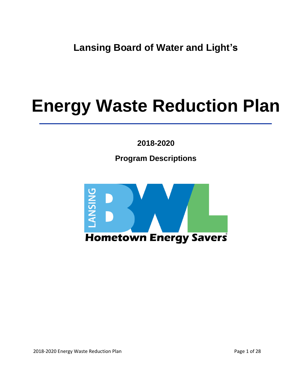**Lansing Board of Water and Light's**

## **Energy Waste Reduction Plan**

**2018-2020**

**Program Descriptions**



2018-2020 Energy Waste Reduction Plan **Page 1** of 28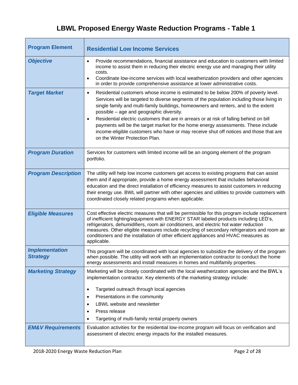## **LBWL Proposed Energy Waste Reduction Programs - Table 1**

| <b>Program Element</b>                   | <b>Residential Low Income Services</b>                                                                                                                                                                                                                                                                                                                                                                                                                                                                                                                                                                                                                  |
|------------------------------------------|---------------------------------------------------------------------------------------------------------------------------------------------------------------------------------------------------------------------------------------------------------------------------------------------------------------------------------------------------------------------------------------------------------------------------------------------------------------------------------------------------------------------------------------------------------------------------------------------------------------------------------------------------------|
| <b>Objective</b>                         | Provide recommendations, financial assistance and education to customers with limited<br>$\bullet$<br>income to assist them in reducing their electric energy use and managing their utility<br>costs.<br>Coordinate low-income services with local weatherization providers and other agencies<br>$\bullet$<br>in order to provide comprehensive assistance at lower administrative costs.                                                                                                                                                                                                                                                             |
| <b>Target Market</b>                     | Residential customers whose income is estimated to be below 200% of poverty level.<br>$\bullet$<br>Services will be targeted to diverse segments of the population including those living in<br>single family and multi-family buildings, homeowners and renters, and to the extent<br>possible - age and geographic diversity.<br>Residential electric customers that are in arrears or at risk of falling behind on bill<br>$\bullet$<br>payments will be the target market for the home energy assessments. These include<br>income-eligible customers who have or may receive shut off notices and those that are<br>on the Winter Protection Plan. |
| <b>Program Duration</b>                  | Services for customers with limited income will be an ongoing element of the program<br>portfolio.                                                                                                                                                                                                                                                                                                                                                                                                                                                                                                                                                      |
| <b>Program Description</b>               | The utility will help low income customers get access to existing programs that can assist<br>them and if appropriate, provide a home energy assessment that includes behavioral<br>education and the direct installation of efficiency measures to assist customers in reducing<br>their energy use. BWL will partner with other agencies and utilities to provide customers with<br>coordinated closely related programs when applicable.                                                                                                                                                                                                             |
| <b>Eligible Measures</b>                 | Cost effective electric measures that will be permissible for this program include replacement<br>of inefficient lighting/equipment with ENERGY STAR labeled products including LED's,<br>refrigerators, dehumidifiers, room air conditioners, and electric hot water reduction<br>measures. Other eligible measures include recycling of secondary refrigerators and room air<br>conditioners and the installation of other efficient appliances and HVAC measures as<br>applicable.                                                                                                                                                                   |
| <b>Implementation</b><br><b>Strategy</b> | This program will be coordinated with local agencies to subsidize the delivery of the program<br>when possible. The utility will work with an implementation contractor to conduct the home<br>energy assessments and install measures in homes and multifamily properties.                                                                                                                                                                                                                                                                                                                                                                             |
| <b>Marketing Strategy</b>                | Marketing will be closely coordinated with the local weatherization agencies and the BWL's<br>implementation contractor. Key elements of the marketing strategy include:<br>Targeted outreach through local agencies<br>٠<br>Presentations in the community<br>٠<br>LBWL website and newsletter<br>Press release<br>٠<br>Targeting of multi-family rental property owners<br>٠                                                                                                                                                                                                                                                                          |
| <b>EM&amp;V Requirements</b>             | Evaluation activities for the residential low-income program will focus on verification and<br>assessment of electric energy impacts for the installed measures.                                                                                                                                                                                                                                                                                                                                                                                                                                                                                        |

L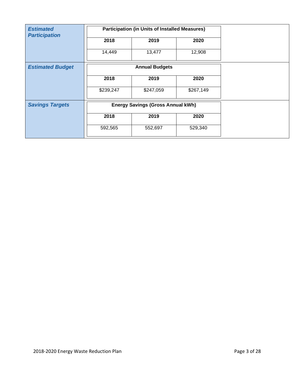| <b>Estimated</b><br><b>Participation</b> |           | <b>Participation (in Units of Installed Measures)</b> |           |
|------------------------------------------|-----------|-------------------------------------------------------|-----------|
|                                          | 2018      | 2019                                                  | 2020      |
|                                          | 14,449    | 13,477                                                | 12,908    |
| <b>Estimated Budget</b>                  |           | <b>Annual Budgets</b>                                 |           |
|                                          | 2018      | 2019                                                  | 2020      |
|                                          | \$239,247 | \$247,059                                             | \$267,149 |
| <b>Savings Targets</b>                   |           | <b>Energy Savings (Gross Annual kWh)</b>              |           |
|                                          | 2018      | 2019                                                  | 2020      |
|                                          | 592,565   | 552,697                                               | 529,340   |
|                                          |           |                                                       |           |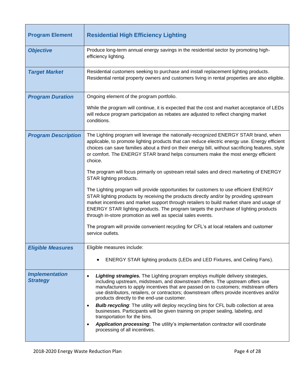| <b>Program Element</b>                   | <b>Residential High Efficiency Lighting</b>                                                                                                                                                                                                                                                                                                                                                                                                                                                                                                                                                                                                                                                                                                                                       |
|------------------------------------------|-----------------------------------------------------------------------------------------------------------------------------------------------------------------------------------------------------------------------------------------------------------------------------------------------------------------------------------------------------------------------------------------------------------------------------------------------------------------------------------------------------------------------------------------------------------------------------------------------------------------------------------------------------------------------------------------------------------------------------------------------------------------------------------|
| <b>Objective</b>                         | Produce long-term annual energy savings in the residential sector by promoting high-<br>efficiency lighting.                                                                                                                                                                                                                                                                                                                                                                                                                                                                                                                                                                                                                                                                      |
| <b>Target Market</b>                     | Residential customers seeking to purchase and install replacement lighting products.<br>Residential rental property owners and customers living in rental properties are also eligible.                                                                                                                                                                                                                                                                                                                                                                                                                                                                                                                                                                                           |
| <b>Program Duration</b>                  | Ongoing element of the program portfolio.                                                                                                                                                                                                                                                                                                                                                                                                                                                                                                                                                                                                                                                                                                                                         |
|                                          | While the program will continue, it is expected that the cost and market acceptance of LEDs<br>will reduce program participation as rebates are adjusted to reflect changing market<br>conditions.                                                                                                                                                                                                                                                                                                                                                                                                                                                                                                                                                                                |
| <b>Program Description</b>               | The Lighting program will leverage the nationally-recognized ENERGY STAR brand, when<br>applicable, to promote lighting products that can reduce electric energy use. Energy efficient<br>choices can save families about a third on their energy bill, without sacrificing features, style<br>or comfort. The ENERGY STAR brand helps consumers make the most energy efficient<br>choice.                                                                                                                                                                                                                                                                                                                                                                                        |
|                                          | The program will focus primarily on upstream retail sales and direct marketing of ENERGY<br>STAR lighting products.                                                                                                                                                                                                                                                                                                                                                                                                                                                                                                                                                                                                                                                               |
|                                          | The Lighting program will provide opportunities for customers to use efficient ENERGY<br>STAR lighting products by receiving the products directly and/or by providing upstream<br>market incentives and market support through retailers to build market share and usage of<br>ENERGY STAR lighting products. The program targets the purchase of lighting products<br>through in-store promotion as well as special sales events.                                                                                                                                                                                                                                                                                                                                               |
|                                          | The program will provide convenient recycling for CFL's at local retailers and customer<br>service outlets.                                                                                                                                                                                                                                                                                                                                                                                                                                                                                                                                                                                                                                                                       |
| <b>Eligible Measures</b>                 | Eligible measures include:                                                                                                                                                                                                                                                                                                                                                                                                                                                                                                                                                                                                                                                                                                                                                        |
|                                          | ENERGY STAR lighting products (LEDs and LED Fixtures, and Ceiling Fans).                                                                                                                                                                                                                                                                                                                                                                                                                                                                                                                                                                                                                                                                                                          |
| <b>Implementation</b><br><b>Strategy</b> | Lighting strategies. The Lighting program employs multiple delivery strategies,<br>$\bullet$<br>including upstream, midstream, and downstream offers. The upstream offers use<br>manufacturers to apply incentives that are passed on to customers; midstream offers<br>use distributors, retailers, or contractors; downstream offers provide incentives and/or<br>products directly to the end-use customer.<br><b>Bulb recycling:</b> The utility will deploy recycling bins for CFL bulb collection at area<br>$\bullet$<br>businesses. Participants will be given training on proper sealing, labeling, and<br>transportation for the bins.<br>Application processing: The utility's implementation contractor will coordinate<br>$\bullet$<br>processing of all incentives. |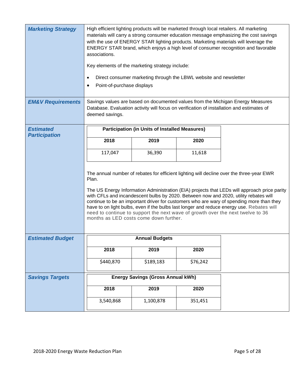| <b>Marketing Strategy</b>    | High efficient lighting products will be marketed through local retailers. All marketing<br>materials will carry a strong consumer education message emphasizing the cost savings<br>with the use of ENERGY STAR lighting products. Marketing materials will leverage the<br>ENERGY STAR brand, which enjoys a high level of consumer recognition and favorable<br>associations.<br>Key elements of the marketing strategy include:<br>Direct consumer marketing through the LBWL website and newsletter<br>$\bullet$<br>Point-of-purchase displays<br>$\bullet$                                               |                                                       |          |  |
|------------------------------|----------------------------------------------------------------------------------------------------------------------------------------------------------------------------------------------------------------------------------------------------------------------------------------------------------------------------------------------------------------------------------------------------------------------------------------------------------------------------------------------------------------------------------------------------------------------------------------------------------------|-------------------------------------------------------|----------|--|
| <b>EM&amp;V Requirements</b> | Savings values are based on documented values from the Michigan Energy Measures<br>Database. Evaluation activity will focus on verification of installation and estimates of<br>deemed savings.                                                                                                                                                                                                                                                                                                                                                                                                                |                                                       |          |  |
| <b>Estimated</b>             |                                                                                                                                                                                                                                                                                                                                                                                                                                                                                                                                                                                                                | <b>Participation (in Units of Installed Measures)</b> |          |  |
| <b>Participation</b>         | 2018                                                                                                                                                                                                                                                                                                                                                                                                                                                                                                                                                                                                           | 2019                                                  | 2020     |  |
|                              | 117,047                                                                                                                                                                                                                                                                                                                                                                                                                                                                                                                                                                                                        | 36,390                                                | 11,618   |  |
|                              | The annual number of rebates for efficient lighting will decline over the three-year EWR<br>Plan.<br>The US Energy Information Administration (EIA) projects that LEDs will approach price parity<br>with CFLs and incandescent bulbs by 2020. Between now and 2020, utility rebates will<br>continue to be an important driver for customers who are wary of spending more than they<br>have to on light bulbs, even if the bulbs last longer and reduce energy use. Rebates will<br>need to continue to support the next wave of growth over the next twelve to 36<br>months as LED costs come down further. |                                                       |          |  |
| <b>Estimated Budget</b>      |                                                                                                                                                                                                                                                                                                                                                                                                                                                                                                                                                                                                                | <b>Annual Budgets</b>                                 |          |  |
|                              | 2018                                                                                                                                                                                                                                                                                                                                                                                                                                                                                                                                                                                                           | 2019                                                  | 2020     |  |
|                              | \$440,870                                                                                                                                                                                                                                                                                                                                                                                                                                                                                                                                                                                                      | \$189,183                                             | \$76,242 |  |
| <b>Savings Targets</b>       |                                                                                                                                                                                                                                                                                                                                                                                                                                                                                                                                                                                                                | <b>Energy Savings (Gross Annual kWh)</b>              |          |  |
|                              | 2018                                                                                                                                                                                                                                                                                                                                                                                                                                                                                                                                                                                                           | 2019                                                  | 2020     |  |
|                              | 3,540,868                                                                                                                                                                                                                                                                                                                                                                                                                                                                                                                                                                                                      | 1,100,878                                             | 351,451  |  |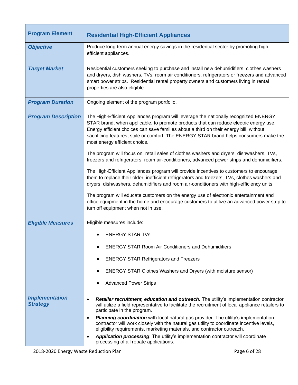| <b>Program Element</b>                   | <b>Residential High-Efficient Appliances</b>                                                                                                                                                                                                                                                                                                                                                                                                                                                                                                                                                                                                                                                                                                                                             |  |  |  |
|------------------------------------------|------------------------------------------------------------------------------------------------------------------------------------------------------------------------------------------------------------------------------------------------------------------------------------------------------------------------------------------------------------------------------------------------------------------------------------------------------------------------------------------------------------------------------------------------------------------------------------------------------------------------------------------------------------------------------------------------------------------------------------------------------------------------------------------|--|--|--|
| <b>Objective</b>                         | Produce long-term annual energy savings in the residential sector by promoting high-<br>efficient appliances.                                                                                                                                                                                                                                                                                                                                                                                                                                                                                                                                                                                                                                                                            |  |  |  |
| <b>Target Market</b>                     | Residential customers seeking to purchase and install new dehumidifiers, clothes washers<br>and dryers, dish washers, TVs, room air conditioners, refrigerators or freezers and advanced<br>smart power strips. Residential rental property owners and customers living in rental<br>properties are also eligible.                                                                                                                                                                                                                                                                                                                                                                                                                                                                       |  |  |  |
| <b>Program Duration</b>                  | Ongoing element of the program portfolio.                                                                                                                                                                                                                                                                                                                                                                                                                                                                                                                                                                                                                                                                                                                                                |  |  |  |
| <b>Program Description</b>               | The High-Efficient Appliances program will leverage the nationally recognized ENERGY<br>STAR brand, when applicable, to promote products that can reduce electric energy use.<br>Energy efficient choices can save families about a third on their energy bill, without<br>sacrificing features, style or comfort. The ENERGY STAR brand helps consumers make the<br>most energy efficient choice.<br>The program will focus on retail sales of clothes washers and dryers, dishwashers, TVs,<br>freezers and refrigerators, room air-conditioners, advanced power strips and dehumidifiers.<br>The High-Efficient Appliances program will provide incentives to customers to encourage<br>them to replace their older, inefficient refrigerators and freezers, TVs, clothes washers and |  |  |  |
|                                          | dryers, dishwashers, dehumidifiers and room air-conditioners with high-efficiency units.                                                                                                                                                                                                                                                                                                                                                                                                                                                                                                                                                                                                                                                                                                 |  |  |  |
|                                          | The program will educate customers on the energy use of electronic entertainment and<br>office equipment in the home and encourage customers to utilize an advanced power strip to<br>turn off equipment when not in use.                                                                                                                                                                                                                                                                                                                                                                                                                                                                                                                                                                |  |  |  |
| <b>Eligible Measures</b>                 | Eligible measures include:                                                                                                                                                                                                                                                                                                                                                                                                                                                                                                                                                                                                                                                                                                                                                               |  |  |  |
|                                          | <b>ENERGY STAR TVs</b>                                                                                                                                                                                                                                                                                                                                                                                                                                                                                                                                                                                                                                                                                                                                                                   |  |  |  |
|                                          | <b>ENERGY STAR Room Air Conditioners and Dehumidifiers</b>                                                                                                                                                                                                                                                                                                                                                                                                                                                                                                                                                                                                                                                                                                                               |  |  |  |
|                                          | <b>ENERGY STAR Refrigerators and Freezers</b><br>٠                                                                                                                                                                                                                                                                                                                                                                                                                                                                                                                                                                                                                                                                                                                                       |  |  |  |
|                                          | <b>ENERGY STAR Clothes Washers and Dryers (with moisture sensor)</b><br>٠                                                                                                                                                                                                                                                                                                                                                                                                                                                                                                                                                                                                                                                                                                                |  |  |  |
|                                          | <b>Advanced Power Strips</b>                                                                                                                                                                                                                                                                                                                                                                                                                                                                                                                                                                                                                                                                                                                                                             |  |  |  |
| <b>Implementation</b><br><b>Strategy</b> | <b>Retailer recruitment, education and outreach.</b> The utility's implementation contractor<br>$\bullet$<br>will utilize a field representative to facilitate the recruitment of local appliance retailers to<br>participate in the program.                                                                                                                                                                                                                                                                                                                                                                                                                                                                                                                                            |  |  |  |
|                                          | Planning coordination with local natural gas provider. The utility's implementation<br>$\bullet$<br>contractor will work closely with the natural gas utility to coordinate incentive levels,<br>eligibility requirements, marketing materials, and contractor outreach.                                                                                                                                                                                                                                                                                                                                                                                                                                                                                                                 |  |  |  |
|                                          | Application processing: The utility's implementation contractor will coordinate<br>$\bullet$<br>processing of all rebate applications.                                                                                                                                                                                                                                                                                                                                                                                                                                                                                                                                                                                                                                                   |  |  |  |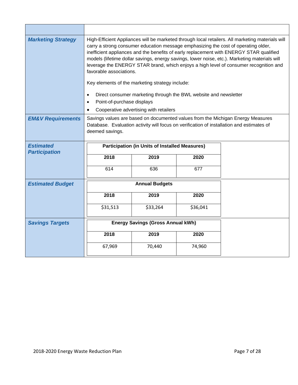| <b>Marketing Strategy</b>    | High-Efficient Appliances will be marketed through local retailers. All marketing materials will<br>carry a strong consumer education message emphasizing the cost of operating older,<br>inefficient appliances and the benefits of early replacement with ENERGY STAR qualified<br>models (lifetime dollar savings, energy savings, lower noise, etc.). Marketing materials will<br>leverage the ENERGY STAR brand, which enjoys a high level of consumer recognition and<br>favorable associations.<br>Key elements of the marketing strategy include:<br>Direct consumer marketing through the BWL website and newsletter<br>$\bullet$<br>Point-of-purchase displays<br>$\bullet$ |                                          |          |  |
|------------------------------|---------------------------------------------------------------------------------------------------------------------------------------------------------------------------------------------------------------------------------------------------------------------------------------------------------------------------------------------------------------------------------------------------------------------------------------------------------------------------------------------------------------------------------------------------------------------------------------------------------------------------------------------------------------------------------------|------------------------------------------|----------|--|
|                              |                                                                                                                                                                                                                                                                                                                                                                                                                                                                                                                                                                                                                                                                                       | Cooperative advertising with retailers   |          |  |
| <b>EM&amp;V Requirements</b> | Savings values are based on documented values from the Michigan Energy Measures<br>Database. Evaluation activity will focus on verification of installation and estimates of<br>deemed savings.                                                                                                                                                                                                                                                                                                                                                                                                                                                                                       |                                          |          |  |
| <b>Estimated</b>             | <b>Participation (in Units of Installed Measures)</b>                                                                                                                                                                                                                                                                                                                                                                                                                                                                                                                                                                                                                                 |                                          |          |  |
| <b>Participation</b>         | 2018                                                                                                                                                                                                                                                                                                                                                                                                                                                                                                                                                                                                                                                                                  | 2019                                     | 2020     |  |
|                              |                                                                                                                                                                                                                                                                                                                                                                                                                                                                                                                                                                                                                                                                                       |                                          |          |  |
|                              | 614                                                                                                                                                                                                                                                                                                                                                                                                                                                                                                                                                                                                                                                                                   | 636                                      | 677      |  |
|                              |                                                                                                                                                                                                                                                                                                                                                                                                                                                                                                                                                                                                                                                                                       |                                          |          |  |
| <b>Estimated Budget</b>      |                                                                                                                                                                                                                                                                                                                                                                                                                                                                                                                                                                                                                                                                                       | <b>Annual Budgets</b>                    |          |  |
|                              | 2018                                                                                                                                                                                                                                                                                                                                                                                                                                                                                                                                                                                                                                                                                  | 2019                                     | 2020     |  |
|                              | \$31,513                                                                                                                                                                                                                                                                                                                                                                                                                                                                                                                                                                                                                                                                              | \$33,264                                 | \$36,041 |  |
| <b>Savings Targets</b>       |                                                                                                                                                                                                                                                                                                                                                                                                                                                                                                                                                                                                                                                                                       | <b>Energy Savings (Gross Annual kWh)</b> |          |  |
|                              | 2018                                                                                                                                                                                                                                                                                                                                                                                                                                                                                                                                                                                                                                                                                  | 2019                                     | 2020     |  |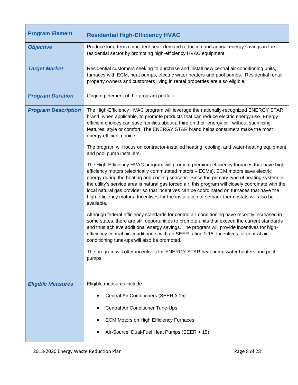| <b>Program Element</b>     | <b>Residential High-Efficiency HVAC</b>                                                                                                                                                                                                                                                                                                                                                                                                                                                                                                                                                          |
|----------------------------|--------------------------------------------------------------------------------------------------------------------------------------------------------------------------------------------------------------------------------------------------------------------------------------------------------------------------------------------------------------------------------------------------------------------------------------------------------------------------------------------------------------------------------------------------------------------------------------------------|
| <b>Objective</b>           | Produce long-term coincident peak demand reduction and annual energy savings in the<br>residential sector by promoting high-efficiency HVAC equipment.                                                                                                                                                                                                                                                                                                                                                                                                                                           |
| <b>Target Market</b>       | Residential customers seeking to purchase and install new central air conditioning units,<br>furnaces with ECM, heat pumps, electric water heaters and pool pumps. Residential rental<br>property owners and customers living in rental properties are also eligible.                                                                                                                                                                                                                                                                                                                            |
| <b>Program Duration</b>    | Ongoing element of the program portfolio.                                                                                                                                                                                                                                                                                                                                                                                                                                                                                                                                                        |
| <b>Program Description</b> | The High-Efficiency HVAC program will leverage the nationally-recognized ENERGY STAR<br>brand, when applicable, to promote products that can reduce electric energy use. Energy<br>efficient choices can save families about a third on their energy bill, without sacrificing<br>features, style or comfort. The ENERGY STAR brand helps consumers make the most<br>energy efficient choice.                                                                                                                                                                                                    |
|                            | The program will focus on contractor-installed heating, cooling, and water-heating equipment<br>and pool pump installers.                                                                                                                                                                                                                                                                                                                                                                                                                                                                        |
|                            | The High-Efficiency HVAC program will promote premium efficiency furnaces that have high-<br>efficiency motors (electrically commutated motors - ECMs). ECM motors save electric<br>energy during the heating and cooling seasons. Since the primary type of heating system in<br>the utility's service area is natural gas forced air, this program will closely coordinate with the<br>local natural gas provider so that incentives can be coordinated on furnaces that have the<br>high-efficiency motors. Incentives for the installation of setback thermostats will also be<br>available. |
|                            | Although federal efficiency standards for central air-conditioning have recently increased in<br>some states, there are still opportunities to promote units that exceed the current standards<br>and thus achieve additional energy savings. The program will provide incentives for high-<br>efficiency central air-conditioners with an SEER rating ≥ 15. Incentives for central air-<br>conditioning tune-ups will also be promoted.                                                                                                                                                         |
|                            | The program will offer incentives for ENERGY STAR heat pump water heaters and pool<br>pumps.                                                                                                                                                                                                                                                                                                                                                                                                                                                                                                     |
| <b>Eligible Measures</b>   | Eligible measures include:                                                                                                                                                                                                                                                                                                                                                                                                                                                                                                                                                                       |
|                            | Central Air Conditioners (SEER ≥ 15)                                                                                                                                                                                                                                                                                                                                                                                                                                                                                                                                                             |
|                            | Central Air Conditioner Tune-Ups                                                                                                                                                                                                                                                                                                                                                                                                                                                                                                                                                                 |
|                            | <b>ECM Motors on High Efficiency Furnaces</b>                                                                                                                                                                                                                                                                                                                                                                                                                                                                                                                                                    |
|                            | Air-Source, Dual-Fuel Heat Pumps (SEER > 15)                                                                                                                                                                                                                                                                                                                                                                                                                                                                                                                                                     |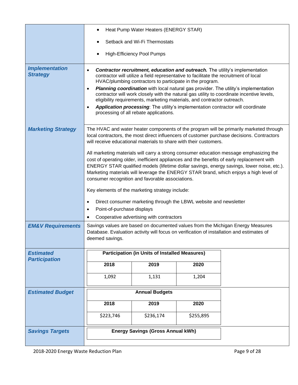|                                                           | Heat Pump Water Heaters (ENERGY STAR)                                                                                                                                                                                                                                                                                                                                                                                                                                                                                                                                                                                                                                                                                                                                                                                                                                                                                                                                                                                                                                                                          |                                                       |           |  |
|-----------------------------------------------------------|----------------------------------------------------------------------------------------------------------------------------------------------------------------------------------------------------------------------------------------------------------------------------------------------------------------------------------------------------------------------------------------------------------------------------------------------------------------------------------------------------------------------------------------------------------------------------------------------------------------------------------------------------------------------------------------------------------------------------------------------------------------------------------------------------------------------------------------------------------------------------------------------------------------------------------------------------------------------------------------------------------------------------------------------------------------------------------------------------------------|-------------------------------------------------------|-----------|--|
|                                                           | Setback and Wi-Fi Thermostats                                                                                                                                                                                                                                                                                                                                                                                                                                                                                                                                                                                                                                                                                                                                                                                                                                                                                                                                                                                                                                                                                  |                                                       |           |  |
|                                                           |                                                                                                                                                                                                                                                                                                                                                                                                                                                                                                                                                                                                                                                                                                                                                                                                                                                                                                                                                                                                                                                                                                                | <b>High-Efficiency Pool Pumps</b>                     |           |  |
| <b>Implementation</b><br><b>Strategy</b>                  | <b>Contractor recruitment, education and outreach.</b> The utility's implementation<br>contractor will utilize a field representative to facilitate the recruitment of local<br>HVAC/plumbing contractors to participate in the program.<br>Planning coordination with local natural gas provider. The utility's implementation<br>contractor will work closely with the natural gas utility to coordinate incentive levels,<br>eligibility requirements, marketing materials, and contractor outreach.<br>Application processing: The utility's implementation contractor will coordinate<br>$\bullet$<br>processing of all rebate applications.                                                                                                                                                                                                                                                                                                                                                                                                                                                              |                                                       |           |  |
| <b>Marketing Strategy</b><br><b>EM&amp;V Requirements</b> | The HVAC and water heater components of the program will be primarily marketed through<br>local contractors, the most direct influencers of customer purchase decisions. Contractors<br>will receive educational materials to share with their customers.<br>All marketing materials will carry a strong consumer education message emphasizing the<br>cost of operating older, inefficient appliances and the benefits of early replacement with<br>ENERGY STAR qualified models (lifetime dollar savings, energy savings, lower noise, etc.).<br>Marketing materials will leverage the ENERGY STAR brand, which enjoys a high level of<br>consumer recognition and favorable associations.<br>Key elements of the marketing strategy include:<br>Direct consumer marketing through the LBWL website and newsletter<br>Point-of-purchase displays<br>$\bullet$<br>Cooperative advertising with contractors<br>Savings values are based on documented values from the Michigan Energy Measures<br>Database. Evaluation activity will focus on verification of installation and estimates of<br>deemed savings. |                                                       |           |  |
| <b>Estimated</b>                                          |                                                                                                                                                                                                                                                                                                                                                                                                                                                                                                                                                                                                                                                                                                                                                                                                                                                                                                                                                                                                                                                                                                                | <b>Participation (in Units of Installed Measures)</b> |           |  |
| <b>Participation</b>                                      |                                                                                                                                                                                                                                                                                                                                                                                                                                                                                                                                                                                                                                                                                                                                                                                                                                                                                                                                                                                                                                                                                                                |                                                       |           |  |
|                                                           | 2018                                                                                                                                                                                                                                                                                                                                                                                                                                                                                                                                                                                                                                                                                                                                                                                                                                                                                                                                                                                                                                                                                                           | 2019                                                  | 2020      |  |
|                                                           | 1,092                                                                                                                                                                                                                                                                                                                                                                                                                                                                                                                                                                                                                                                                                                                                                                                                                                                                                                                                                                                                                                                                                                          | 1,131                                                 | 1,204     |  |
| <b>Estimated Budget</b>                                   |                                                                                                                                                                                                                                                                                                                                                                                                                                                                                                                                                                                                                                                                                                                                                                                                                                                                                                                                                                                                                                                                                                                | <b>Annual Budgets</b>                                 |           |  |
|                                                           | 2018                                                                                                                                                                                                                                                                                                                                                                                                                                                                                                                                                                                                                                                                                                                                                                                                                                                                                                                                                                                                                                                                                                           | 2019                                                  | 2020      |  |
|                                                           | \$223,746                                                                                                                                                                                                                                                                                                                                                                                                                                                                                                                                                                                                                                                                                                                                                                                                                                                                                                                                                                                                                                                                                                      | \$236,174                                             | \$255,895 |  |
| <b>Savings Targets</b>                                    |                                                                                                                                                                                                                                                                                                                                                                                                                                                                                                                                                                                                                                                                                                                                                                                                                                                                                                                                                                                                                                                                                                                | <b>Energy Savings (Gross Annual kWh)</b>              |           |  |
|                                                           |                                                                                                                                                                                                                                                                                                                                                                                                                                                                                                                                                                                                                                                                                                                                                                                                                                                                                                                                                                                                                                                                                                                |                                                       |           |  |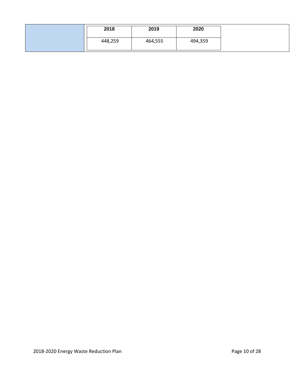| 2018    | 2019    | 2020    |
|---------|---------|---------|
| 448,259 | 464,555 | 494,359 |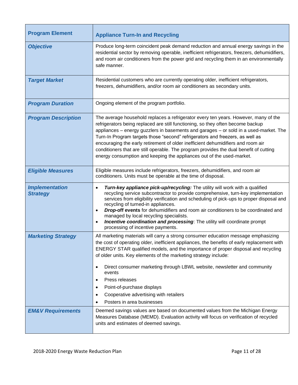| <b>Program Element</b>                   | <b>Appliance Turn-In and Recycling</b>                                                                                                                                                                                                                                                                                                                                                                                                                                                                                                                                                                  |
|------------------------------------------|---------------------------------------------------------------------------------------------------------------------------------------------------------------------------------------------------------------------------------------------------------------------------------------------------------------------------------------------------------------------------------------------------------------------------------------------------------------------------------------------------------------------------------------------------------------------------------------------------------|
| <b>Objective</b>                         | Produce long-term coincident peak demand reduction and annual energy savings in the<br>residential sector by removing operable, inefficient refrigerators, freezers, dehumidifiers,<br>and room air conditioners from the power grid and recycling them in an environmentally<br>safe manner.                                                                                                                                                                                                                                                                                                           |
| <b>Target Market</b>                     | Residential customers who are currently operating older, inefficient refrigerators,<br>freezers, dehumidifiers, and/or room air conditioners as secondary units.                                                                                                                                                                                                                                                                                                                                                                                                                                        |
| <b>Program Duration</b>                  | Ongoing element of the program portfolio.                                                                                                                                                                                                                                                                                                                                                                                                                                                                                                                                                               |
| <b>Program Description</b>               | The average household replaces a refrigerator every ten years. However, many of the<br>refrigerators being replaced are still functioning, so they often become backup<br>appliances - energy guzzlers in basements and garages - or sold in a used-market. The<br>Turn-In Program targets those "second" refrigerators and freezers, as well as<br>encouraging the early retirement of older inefficient dehumidifiers and room air<br>conditioners that are still operable. The program provides the dual benefit of cutting<br>energy consumption and keeping the appliances out of the used-market. |
| <b>Eligible Measures</b>                 | Eligible measures include refrigerators, freezers, dehumidifiers, and room air<br>conditioners. Units must be operable at the time of disposal.                                                                                                                                                                                                                                                                                                                                                                                                                                                         |
| <b>Implementation</b><br><b>Strategy</b> | Turn-key appliance pick-up/recycling: The utility will work with a qualified<br>$\bullet$<br>recycling service subcontractor to provide comprehensive, turn-key implementation<br>services from eligibility verification and scheduling of pick-ups to proper disposal and<br>recycling of turned-in appliances.<br><b>Drop-off events</b> for dehumidifiers and room air conditioners to be coordinated and<br>$\bullet$<br>managed by local recycling specialists.<br>Incentive coordination and processing: The utility will coordinate prompt<br>$\bullet$<br>processing of incentive payments.     |
| <b>Marketing Strategy</b>                | All marketing materials will carry a strong consumer education message emphasizing<br>the cost of operating older, inefficient appliances, the benefits of early replacement with<br>ENERGY STAR qualified models, and the importance of proper disposal and recycling<br>of older units. Key elements of the marketing strategy include:<br>Direct consumer marketing through LBWL website, newsletter and community<br>events<br>Press releases<br>$\bullet$<br>Point-of-purchase displays<br>٠<br>Cooperative advertising with retailers<br>Posters in area businesses                               |
| <b>EM&amp;V Requirements</b>             | Deemed savings values are based on documented values from the Michigan Energy<br>Measures Database (MEMD). Evaluation activity will focus on verification of recycled<br>units and estimates of deemed savings.                                                                                                                                                                                                                                                                                                                                                                                         |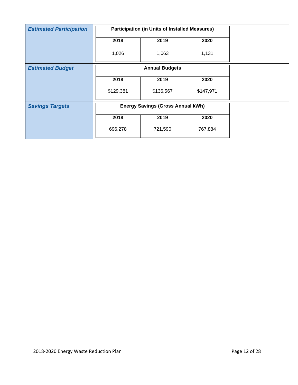| <b>Estimated Participation</b> | <b>Participation (in Units of Installed Measures)</b> |                                          |           |  |
|--------------------------------|-------------------------------------------------------|------------------------------------------|-----------|--|
|                                | 2018                                                  | 2019                                     | 2020      |  |
|                                | 1,026                                                 | 1,063                                    | 1,131     |  |
| <b>Estimated Budget</b>        |                                                       | <b>Annual Budgets</b>                    |           |  |
|                                | 2018                                                  | 2019                                     | 2020      |  |
|                                | \$129,381                                             | \$136,567                                | \$147,971 |  |
| <b>Savings Targets</b>         |                                                       | <b>Energy Savings (Gross Annual kWh)</b> |           |  |
|                                | 2018                                                  | 2019                                     | 2020      |  |
|                                | 696,278                                               | 721,590                                  | 767,884   |  |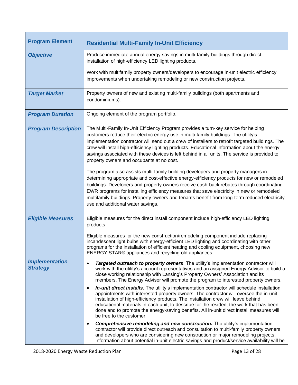| <b>Program Element</b>                   | <b>Residential Multi-Family In-Unit Efficiency</b>                                                                                                                                                                                                                                                                                                                                                                                                                                                                                                                                                                                                                                                                                                                                                                                                                                                                                                                                                                                                                                                                                                                                                                                                              |
|------------------------------------------|-----------------------------------------------------------------------------------------------------------------------------------------------------------------------------------------------------------------------------------------------------------------------------------------------------------------------------------------------------------------------------------------------------------------------------------------------------------------------------------------------------------------------------------------------------------------------------------------------------------------------------------------------------------------------------------------------------------------------------------------------------------------------------------------------------------------------------------------------------------------------------------------------------------------------------------------------------------------------------------------------------------------------------------------------------------------------------------------------------------------------------------------------------------------------------------------------------------------------------------------------------------------|
| <b>Objective</b>                         | Produce immediate annual energy savings in multi-family buildings through direct<br>installation of high-efficiency LED lighting products.                                                                                                                                                                                                                                                                                                                                                                                                                                                                                                                                                                                                                                                                                                                                                                                                                                                                                                                                                                                                                                                                                                                      |
|                                          | Work with multifamily property owners/developers to encourage in-unit electric efficiency<br>improvements when undertaking remodeling or new construction projects.                                                                                                                                                                                                                                                                                                                                                                                                                                                                                                                                                                                                                                                                                                                                                                                                                                                                                                                                                                                                                                                                                             |
| <b>Target Market</b>                     | Property owners of new and existing multi-family buildings (both apartments and<br>condominiums).                                                                                                                                                                                                                                                                                                                                                                                                                                                                                                                                                                                                                                                                                                                                                                                                                                                                                                                                                                                                                                                                                                                                                               |
| <b>Program Duration</b>                  | Ongoing element of the program portfolio.                                                                                                                                                                                                                                                                                                                                                                                                                                                                                                                                                                                                                                                                                                                                                                                                                                                                                                                                                                                                                                                                                                                                                                                                                       |
| <b>Program Description</b>               | The Multi-Family In-Unit Efficiency Program provides a turn-key service for helping<br>customers reduce their electric energy use in multi-family buildings. The utility's<br>implementation contractor will send out a crew of installers to retrofit targeted buildings. The<br>crew will install high-efficiency lighting products. Educational information about the energy<br>savings associated with these devices is left behind in all units. The service is provided to<br>property owners and occupants at no cost.<br>The program also assists multi-family building developers and property managers in<br>determining appropriate and cost-effective energy-efficiency products for new or remodeled<br>buildings. Developers and property owners receive cash-back rebates through coordinating<br>EWR programs for installing efficiency measures that save electricity in new or remodeled<br>multifamily buildings. Property owners and tenants benefit from long-term reduced electricity<br>use and additional water savings.                                                                                                                                                                                                                |
| <b>Eligible Measures</b>                 | Eligible measures for the direct install component include high-efficiency LED lighting<br>products.<br>Eligible measures for the new construction/remodeling component include replacing<br>incandescent light bulbs with energy-efficient LED lighting and coordinating with other<br>programs for the installation of efficient heating and cooling equipment, choosing new<br>ENERGY STAR® appliances and recycling old appliances.                                                                                                                                                                                                                                                                                                                                                                                                                                                                                                                                                                                                                                                                                                                                                                                                                         |
| <b>Implementation</b><br><b>Strategy</b> | Targeted outreach to property owners. The utility's implementation contractor will<br>$\bullet$<br>work with the utility's account representatives and an assigned Energy Advisor to build a<br>close working relationship with Lansing's Property Owners' Association and its<br>members. The Energy Advisor will promote the program to interested property owners.<br>In-unit direct installs. The utility's implementation contractor will schedule installation<br>$\bullet$<br>appointments with interested property owners. The contractor will oversee the in-unit<br>installation of high-efficiency products. The installation crew will leave behind<br>educational materials in each unit, to describe for the resident the work that has been<br>done and to promote the energy-saving benefits. All in-unit direct install measures will<br>be free to the customer.<br><b>Comprehensive remodeling and new construction.</b> The utility's implementation<br>٠<br>contractor will provide direct outreach and consultation to multi-family property owners<br>and developers who are considering new construction or major remodeling projects.<br>Information about potential in-unit electric savings and product/service availability will be |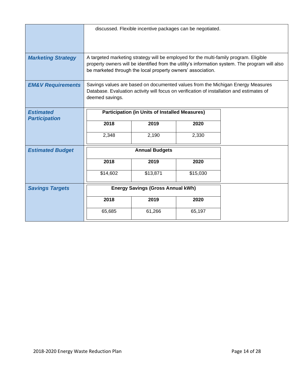|                                          |                                                                                                                                                                                                                                                         | discussed. Flexible incentive packages can be negotiated. |          |  |
|------------------------------------------|---------------------------------------------------------------------------------------------------------------------------------------------------------------------------------------------------------------------------------------------------------|-----------------------------------------------------------|----------|--|
| <b>Marketing Strategy</b>                | A targeted marketing strategy will be employed for the multi-family program. Eligible<br>property owners will be identified from the utility's information system. The program will also<br>be marketed through the local property owners' association. |                                                           |          |  |
| <b>EM&amp;V Requirements</b>             | Savings values are based on documented values from the Michigan Energy Measures<br>Database. Evaluation activity will focus on verification of installation and estimates of<br>deemed savings.                                                         |                                                           |          |  |
| <b>Estimated</b><br><b>Participation</b> | <b>Participation (in Units of Installed Measures)</b>                                                                                                                                                                                                   |                                                           |          |  |
|                                          | 2018                                                                                                                                                                                                                                                    | 2019                                                      | 2020     |  |
|                                          | 2,348                                                                                                                                                                                                                                                   | 2,190                                                     | 2,330    |  |
| <b>Estimated Budget</b>                  | <b>Annual Budgets</b>                                                                                                                                                                                                                                   |                                                           |          |  |
|                                          | 2018                                                                                                                                                                                                                                                    | 2019                                                      | 2020     |  |
|                                          | \$14,602                                                                                                                                                                                                                                                | \$13,871                                                  | \$15,030 |  |
| <b>Savings Targets</b>                   | <b>Energy Savings (Gross Annual kWh)</b>                                                                                                                                                                                                                |                                                           |          |  |
|                                          | 2018                                                                                                                                                                                                                                                    | 2019                                                      | 2020     |  |
|                                          | 65,685                                                                                                                                                                                                                                                  | 61,266                                                    | 65,197   |  |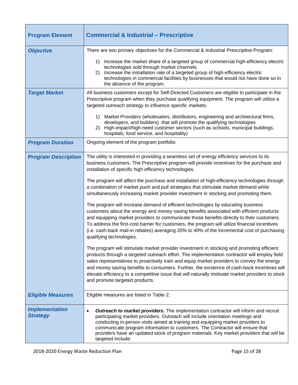| <b>Program Element</b>                   | <b>Commercial &amp; Industrial - Prescriptive</b>                                                                                                                                                                                                                                                                                                                                                                                                                                                                                                                                                                                                                                                                                                                                                                                                                                                                                                                                                                                                                                                                                                                                                                                                                                                                                                                                                                                                                                                                                                                          |
|------------------------------------------|----------------------------------------------------------------------------------------------------------------------------------------------------------------------------------------------------------------------------------------------------------------------------------------------------------------------------------------------------------------------------------------------------------------------------------------------------------------------------------------------------------------------------------------------------------------------------------------------------------------------------------------------------------------------------------------------------------------------------------------------------------------------------------------------------------------------------------------------------------------------------------------------------------------------------------------------------------------------------------------------------------------------------------------------------------------------------------------------------------------------------------------------------------------------------------------------------------------------------------------------------------------------------------------------------------------------------------------------------------------------------------------------------------------------------------------------------------------------------------------------------------------------------------------------------------------------------|
| <b>Objective</b>                         | There are two primary objectives for the Commercial & Industrial Prescriptive Program:<br>Increase the market share of a targeted group of commercial high-efficiency electric<br>1)<br>technologies sold through market channels.<br>Increase the installation rate of a targeted group of high-efficiency electric<br>2)<br>technologies in commercial facilities by businesses that would not have done so in<br>the absence of the program.                                                                                                                                                                                                                                                                                                                                                                                                                                                                                                                                                                                                                                                                                                                                                                                                                                                                                                                                                                                                                                                                                                                            |
| <b>Target Market</b>                     | All business customers except for Self-Directed Customers are eligible to participate in the<br>Prescriptive program when they purchase qualifying equipment. The program will utilize a<br>targeted outreach strategy to influence specific markets.<br>Market Providers (wholesalers, distributors, engineering and architectural firms,<br>1)<br>developers, and builders) that will promote the qualifying technologies<br>High-impact/high-need customer sectors (such as schools, municipal buildings,<br>2)<br>hospitals, food service, and hospitality)                                                                                                                                                                                                                                                                                                                                                                                                                                                                                                                                                                                                                                                                                                                                                                                                                                                                                                                                                                                                            |
| <b>Program Duration</b>                  | Ongoing element of the program portfolio.                                                                                                                                                                                                                                                                                                                                                                                                                                                                                                                                                                                                                                                                                                                                                                                                                                                                                                                                                                                                                                                                                                                                                                                                                                                                                                                                                                                                                                                                                                                                  |
| <b>Program Description</b>               | The utility is interested in providing a seamless set of energy efficiency services to its<br>business customers. The Prescriptive program will provide incentives for the purchase and<br>installation of specific high efficiency technologies.<br>The program will affect the purchase and installation of high-efficiency technologies through<br>a combination of market push and pull strategies that stimulate market demand while<br>simultaneously increasing market provider investment in stocking and promoting them.<br>The program will increase demand of efficient technologies by educating business<br>customers about the energy and money saving benefits associated with efficient products<br>and equipping market providers to communicate those benefits directly to their customers.<br>To address the first-cost barrier for customers, the program will utilize financial incentives<br>(i.e. cash-back mail-in rebates) averaging 20% to 40% of the incremental cost of purchasing<br>qualifying technologies.<br>The program will stimulate market provider investment in stocking and promoting efficient<br>products through a targeted outreach effort. The implementation contractor will employ field<br>sales representatives to proactively train and equip market providers to convey the energy<br>and money saving benefits to consumers. Further, the existence of cash-back incentives will<br>elevate efficiency to a competitive issue that will naturally motivate market providers to stock<br>and promote targeted products. |
| <b>Eligible Measures</b>                 | Eligible measures are listed in Table 2.                                                                                                                                                                                                                                                                                                                                                                                                                                                                                                                                                                                                                                                                                                                                                                                                                                                                                                                                                                                                                                                                                                                                                                                                                                                                                                                                                                                                                                                                                                                                   |
| <b>Implementation</b><br><b>Strategy</b> | <b>Outreach to market providers.</b> The implementation contractor will inform and recruit<br>$\bullet$<br>participating market providers. Outreach will include orientation meetings and<br>conducting in-person visits aimed at training and equipping market providers to<br>communicate program information to customers. The Contractor will ensure that<br>providers have an updated stock of program materials. Key market providers that will be<br>targeted include:                                                                                                                                                                                                                                                                                                                                                                                                                                                                                                                                                                                                                                                                                                                                                                                                                                                                                                                                                                                                                                                                                              |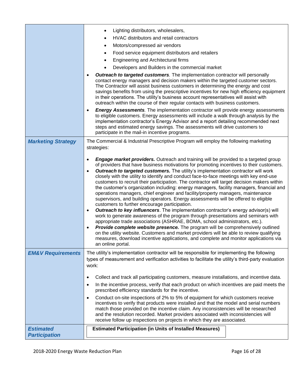|                              | Lighting distributors, wholesalers,<br>٠                                                                                                                                                                                                                                                                                                                                                                                                                                                                                                                                                                                                                                                                                                                                                                                                                                                                                                                                                                                                                                                                                                                                                                                                                                                                                                                                                                               |
|------------------------------|------------------------------------------------------------------------------------------------------------------------------------------------------------------------------------------------------------------------------------------------------------------------------------------------------------------------------------------------------------------------------------------------------------------------------------------------------------------------------------------------------------------------------------------------------------------------------------------------------------------------------------------------------------------------------------------------------------------------------------------------------------------------------------------------------------------------------------------------------------------------------------------------------------------------------------------------------------------------------------------------------------------------------------------------------------------------------------------------------------------------------------------------------------------------------------------------------------------------------------------------------------------------------------------------------------------------------------------------------------------------------------------------------------------------|
|                              | HVAC distributors and retail contractors<br>$\bullet$                                                                                                                                                                                                                                                                                                                                                                                                                                                                                                                                                                                                                                                                                                                                                                                                                                                                                                                                                                                                                                                                                                                                                                                                                                                                                                                                                                  |
|                              | Motors/compressed air vendors<br>٠                                                                                                                                                                                                                                                                                                                                                                                                                                                                                                                                                                                                                                                                                                                                                                                                                                                                                                                                                                                                                                                                                                                                                                                                                                                                                                                                                                                     |
|                              | Food service equipment distributors and retailers<br>٠                                                                                                                                                                                                                                                                                                                                                                                                                                                                                                                                                                                                                                                                                                                                                                                                                                                                                                                                                                                                                                                                                                                                                                                                                                                                                                                                                                 |
|                              | Engineering and Architectural firms<br>٠                                                                                                                                                                                                                                                                                                                                                                                                                                                                                                                                                                                                                                                                                                                                                                                                                                                                                                                                                                                                                                                                                                                                                                                                                                                                                                                                                                               |
|                              | Developers and Builders in the commercial market                                                                                                                                                                                                                                                                                                                                                                                                                                                                                                                                                                                                                                                                                                                                                                                                                                                                                                                                                                                                                                                                                                                                                                                                                                                                                                                                                                       |
|                              | <b>Outreach to targeted customers.</b> The implementation contractor will personally<br>$\bullet$<br>contact energy managers and decision makers within the targeted customer sectors.<br>The Contractor will assist business customers in determining the energy and cost<br>savings benefits from using the prescriptive incentives for new high efficiency equipment<br>in their operations. The utility's business account representatives will assist with<br>outreach within the course of their regular contacts with business customers.<br><b>Energy Assessments</b> . The implementation contractor will provide energy assessments<br>$\bullet$                                                                                                                                                                                                                                                                                                                                                                                                                                                                                                                                                                                                                                                                                                                                                             |
|                              | to eligible customers. Energy assessments will include a walk through analysis by the<br>implementation contractor's Energy Advisor and a report detailing recommended next<br>steps and estimated energy savings. The assessments will drive customers to<br>participate in the mail-in incentive programs.                                                                                                                                                                                                                                                                                                                                                                                                                                                                                                                                                                                                                                                                                                                                                                                                                                                                                                                                                                                                                                                                                                           |
| <b>Marketing Strategy</b>    | The Commercial & Industrial Prescriptive Program will employ the following marketing<br>strategies:                                                                                                                                                                                                                                                                                                                                                                                                                                                                                                                                                                                                                                                                                                                                                                                                                                                                                                                                                                                                                                                                                                                                                                                                                                                                                                                    |
|                              | <b>Engage market providers.</b> Outreach and training will be provided to a targeted group<br>$\bullet$<br>of providers that have business motivations for promoting incentives to their customers.<br>Outreach to targeted customers. The utility's implementation contractor will work<br>$\bullet$<br>closely with the utility to identify and conduct face-to-face meetings with key end-use<br>customers to recruit their participation. The contractor will target decision makers within<br>the customer's organization including: energy managers, facility managers, financial and<br>operations managers, chief engineer and facility/property managers, maintenance<br>supervisors, and building operators. Energy assessments will be offered to eligible<br>customers to further encourage participation.<br><b>Outreach to key influencers</b> . The implementation contractor's energy advisor(s) will<br>$\bullet$<br>work to generate awareness of the program through presentations and seminars with<br>appropriate trade associations (ASHRAE, BOMA, school administrators, etc.).<br><b>Provide complete website presence.</b> The program will be comprehensively outlined<br>$\bullet$<br>on the utility website. Customers and market providers will be able to review qualifying<br>measures, download incentive applications, and complete and monitor applications via<br>an online portal. |
| <b>EM&amp;V Requirements</b> | The utility's implementation contractor will be responsible for implementing the following<br>types of measurement and verification activities to facilitate the utility's third-party evaluation<br>work:                                                                                                                                                                                                                                                                                                                                                                                                                                                                                                                                                                                                                                                                                                                                                                                                                                                                                                                                                                                                                                                                                                                                                                                                             |
|                              | Collect and track all participating customers, measure installations, and incentive data.<br>٠                                                                                                                                                                                                                                                                                                                                                                                                                                                                                                                                                                                                                                                                                                                                                                                                                                                                                                                                                                                                                                                                                                                                                                                                                                                                                                                         |
|                              | In the incentive process, verify that each product on which incentives are paid meets the<br>٠<br>prescribed efficiency standards for the incentive.                                                                                                                                                                                                                                                                                                                                                                                                                                                                                                                                                                                                                                                                                                                                                                                                                                                                                                                                                                                                                                                                                                                                                                                                                                                                   |
|                              | Conduct on-site inspections of 2% to 5% of equipment for which customers receive<br>$\bullet$<br>incentives to verify that products were installed and that the model and serial numbers<br>match those provided on the incentive claim. Any inconsistencies will be researched<br>and the resolution recorded. Market providers associated with inconsistencies will<br>receive follow up inspections on projects in which they are associated.                                                                                                                                                                                                                                                                                                                                                                                                                                                                                                                                                                                                                                                                                                                                                                                                                                                                                                                                                                       |
| <b>Estimated</b>             | <b>Estimated Participation (in Units of Installed Measures)</b>                                                                                                                                                                                                                                                                                                                                                                                                                                                                                                                                                                                                                                                                                                                                                                                                                                                                                                                                                                                                                                                                                                                                                                                                                                                                                                                                                        |
| <b>Participation</b>         |                                                                                                                                                                                                                                                                                                                                                                                                                                                                                                                                                                                                                                                                                                                                                                                                                                                                                                                                                                                                                                                                                                                                                                                                                                                                                                                                                                                                                        |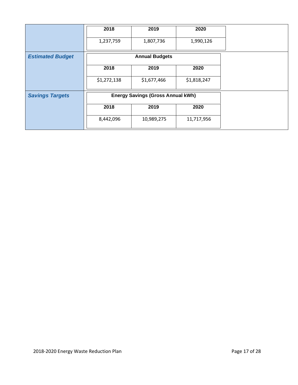|                         | 2018        | 2019                                     | 2020        |
|-------------------------|-------------|------------------------------------------|-------------|
|                         | 1,237,759   | 1,807,736                                | 1,990,126   |
| <b>Estimated Budget</b> |             | <b>Annual Budgets</b>                    |             |
|                         | 2018        | 2019                                     | 2020        |
|                         | \$1,272,138 | \$1,677,466                              | \$1,818,247 |
| <b>Savings Targets</b>  |             | <b>Energy Savings (Gross Annual kWh)</b> |             |
|                         | 2018        | 2019                                     | 2020        |
|                         | 8,442,096   | 10,989,275                               | 11,717,956  |
|                         |             |                                          |             |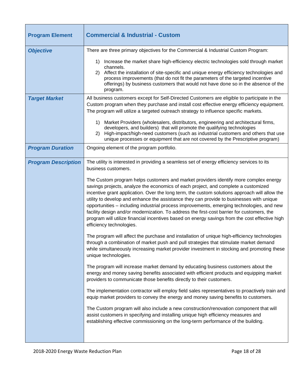| <b>Commercial &amp; Industrial - Custom</b>                                                                                                                                                                                                                                                                                                                                                                                                                                                                                                                                                                                                                                                                                                                                                                                                                                                                                                                                                                                                                                                                                                                                                                                                                                                                                                                                                                                                                                                                                                                                                                                                                                                                                                                                                                                                                 |
|-------------------------------------------------------------------------------------------------------------------------------------------------------------------------------------------------------------------------------------------------------------------------------------------------------------------------------------------------------------------------------------------------------------------------------------------------------------------------------------------------------------------------------------------------------------------------------------------------------------------------------------------------------------------------------------------------------------------------------------------------------------------------------------------------------------------------------------------------------------------------------------------------------------------------------------------------------------------------------------------------------------------------------------------------------------------------------------------------------------------------------------------------------------------------------------------------------------------------------------------------------------------------------------------------------------------------------------------------------------------------------------------------------------------------------------------------------------------------------------------------------------------------------------------------------------------------------------------------------------------------------------------------------------------------------------------------------------------------------------------------------------------------------------------------------------------------------------------------------------|
| There are three primary objectives for the Commercial & Industrial Custom Program:                                                                                                                                                                                                                                                                                                                                                                                                                                                                                                                                                                                                                                                                                                                                                                                                                                                                                                                                                                                                                                                                                                                                                                                                                                                                                                                                                                                                                                                                                                                                                                                                                                                                                                                                                                          |
| Increase the market share high-efficiency electric technologies sold through market<br>1)<br>channels.<br>2) Affect the installation of site-specific and unique energy efficiency technologies and<br>process improvements (that do not fit the parameters of the targeted incentive<br>offerings) by business customers that would not have done so in the absence of the<br>program.                                                                                                                                                                                                                                                                                                                                                                                                                                                                                                                                                                                                                                                                                                                                                                                                                                                                                                                                                                                                                                                                                                                                                                                                                                                                                                                                                                                                                                                                     |
| All business customers except for Self-Directed Customers are eligible to participate in the<br>Custom program when they purchase and install cost effective energy efficiency equipment.<br>The program will utilize a targeted outreach strategy to influence specific markets.                                                                                                                                                                                                                                                                                                                                                                                                                                                                                                                                                                                                                                                                                                                                                                                                                                                                                                                                                                                                                                                                                                                                                                                                                                                                                                                                                                                                                                                                                                                                                                           |
| Market Providers (wholesalers, distributors, engineering and architectural firms,<br>1)<br>developers, and builders) that will promote the qualifying technologies<br>High-impact/high-need customers (such as industrial customers and others that use<br>2)<br>unique processes or equipment that are not covered by the Prescriptive program)                                                                                                                                                                                                                                                                                                                                                                                                                                                                                                                                                                                                                                                                                                                                                                                                                                                                                                                                                                                                                                                                                                                                                                                                                                                                                                                                                                                                                                                                                                            |
| Ongoing element of the program portfolio.                                                                                                                                                                                                                                                                                                                                                                                                                                                                                                                                                                                                                                                                                                                                                                                                                                                                                                                                                                                                                                                                                                                                                                                                                                                                                                                                                                                                                                                                                                                                                                                                                                                                                                                                                                                                                   |
| The utility is interested in providing a seamless set of energy efficiency services to its<br>business customers.<br>The Custom program helps customers and market providers identify more complex energy<br>savings projects, analyze the economics of each project, and complete a customized<br>incentive grant application. Over the long term, the custom solutions approach will allow the<br>utility to develop and enhance the assistance they can provide to businesses with unique<br>opportunities - including industrial process improvements, emerging technologies, and new<br>facility design and/or modernization. To address the first-cost barrier for customers, the<br>program will utilize financial incentives based on energy savings from the cost effective high<br>efficiency technologies.<br>The program will affect the purchase and installation of unique high-efficiency technologies<br>through a combination of market push and pull strategies that stimulate market demand<br>while simultaneously increasing market provider investment in stocking and promoting these<br>unique technologies.<br>The program will increase market demand by educating business customers about the<br>energy and money saving benefits associated with efficient products and equipping market<br>providers to communicate those benefits directly to their customers.<br>The implementation contractor will employ field sales representatives to proactively train and<br>equip market providers to convey the energy and money saving benefits to customers.<br>The Custom program will also include a new construction/renovation component that will<br>assist customers in specifying and installing unique high efficiency measures and<br>establishing effective commissioning on the long-term performance of the building. |
|                                                                                                                                                                                                                                                                                                                                                                                                                                                                                                                                                                                                                                                                                                                                                                                                                                                                                                                                                                                                                                                                                                                                                                                                                                                                                                                                                                                                                                                                                                                                                                                                                                                                                                                                                                                                                                                             |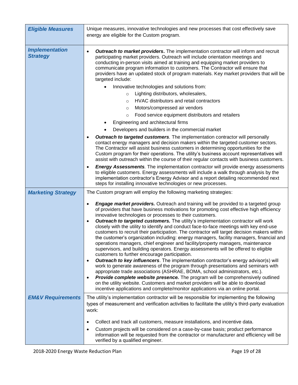| <b>Eligible Measures</b>                 | Unique measures, innovative technologies and new processes that cost effectively save<br>energy are eligible for the Custom program.                                                                                                                                                                                                                                                                                                                                                                                                                                                                                                                                                                                                                                                                                                                                                                                                                                                                                                                                                                                                                                                                                                                                                                                                                                                                  |
|------------------------------------------|-------------------------------------------------------------------------------------------------------------------------------------------------------------------------------------------------------------------------------------------------------------------------------------------------------------------------------------------------------------------------------------------------------------------------------------------------------------------------------------------------------------------------------------------------------------------------------------------------------------------------------------------------------------------------------------------------------------------------------------------------------------------------------------------------------------------------------------------------------------------------------------------------------------------------------------------------------------------------------------------------------------------------------------------------------------------------------------------------------------------------------------------------------------------------------------------------------------------------------------------------------------------------------------------------------------------------------------------------------------------------------------------------------|
| <b>Implementation</b><br><b>Strategy</b> | <b>Outreach to market providers.</b> The implementation contractor will inform and recruit<br>participating market providers. Outreach will include orientation meetings and<br>conducting in-person visits aimed at training and equipping market providers to<br>communicate program information to customers. The Contractor will ensure that<br>providers have an updated stock of program materials. Key market providers that will be<br>targeted include:                                                                                                                                                                                                                                                                                                                                                                                                                                                                                                                                                                                                                                                                                                                                                                                                                                                                                                                                      |
|                                          | Innovative technologies and solutions from:                                                                                                                                                                                                                                                                                                                                                                                                                                                                                                                                                                                                                                                                                                                                                                                                                                                                                                                                                                                                                                                                                                                                                                                                                                                                                                                                                           |
|                                          | Lighting distributors, wholesalers,<br>$\circ$                                                                                                                                                                                                                                                                                                                                                                                                                                                                                                                                                                                                                                                                                                                                                                                                                                                                                                                                                                                                                                                                                                                                                                                                                                                                                                                                                        |
|                                          | HVAC distributors and retail contractors<br>$\circ$                                                                                                                                                                                                                                                                                                                                                                                                                                                                                                                                                                                                                                                                                                                                                                                                                                                                                                                                                                                                                                                                                                                                                                                                                                                                                                                                                   |
|                                          | Motors/compressed air vendors<br>$\circ$                                                                                                                                                                                                                                                                                                                                                                                                                                                                                                                                                                                                                                                                                                                                                                                                                                                                                                                                                                                                                                                                                                                                                                                                                                                                                                                                                              |
|                                          | Food service equipment distributors and retailers<br>$\circ$                                                                                                                                                                                                                                                                                                                                                                                                                                                                                                                                                                                                                                                                                                                                                                                                                                                                                                                                                                                                                                                                                                                                                                                                                                                                                                                                          |
|                                          | Engineering and architectural firms                                                                                                                                                                                                                                                                                                                                                                                                                                                                                                                                                                                                                                                                                                                                                                                                                                                                                                                                                                                                                                                                                                                                                                                                                                                                                                                                                                   |
|                                          | Developers and builders in the commercial market                                                                                                                                                                                                                                                                                                                                                                                                                                                                                                                                                                                                                                                                                                                                                                                                                                                                                                                                                                                                                                                                                                                                                                                                                                                                                                                                                      |
|                                          | <b>Outreach to targeted customers</b> . The implementation contractor will personally<br>contact energy managers and decision makers within the targeted customer sectors.<br>The Contractor will assist business customers in determining opportunities for the<br>Custom program for their operations. The utility's business account representatives will<br>assist with outreach within the course of their regular contacts with business customers.                                                                                                                                                                                                                                                                                                                                                                                                                                                                                                                                                                                                                                                                                                                                                                                                                                                                                                                                             |
|                                          | <b>Energy Assessments</b> . The implementation contractor will provide energy assessments<br>to eligible customers. Energy assessments will include a walk through analysis by the<br>implementation contractor's Energy Advisor and a report detailing recommended next<br>steps for installing innovative technologies or new processes.                                                                                                                                                                                                                                                                                                                                                                                                                                                                                                                                                                                                                                                                                                                                                                                                                                                                                                                                                                                                                                                            |
| <b>Marketing Strategy</b>                | The Custom program will employ the following marketing strategies:                                                                                                                                                                                                                                                                                                                                                                                                                                                                                                                                                                                                                                                                                                                                                                                                                                                                                                                                                                                                                                                                                                                                                                                                                                                                                                                                    |
|                                          | <b>Engage market providers.</b> Outreach and training will be provided to a targeted group<br>of providers that have business motivations for promoting cost effective high efficiency<br>innovative technologies or processes to their customers.<br>Outreach to targeted customers. The utility's implementation contractor will work<br>$\bullet$<br>closely with the utility to identify and conduct face-to-face meetings with key end-use<br>customers to recruit their participation. The contractor will target decision makers within<br>the customer's organization including: energy managers, facility managers, financial and<br>operations managers, chief engineer and facility/property managers, maintenance<br>supervisors, and building operators. Energy assessments will be offered to eligible<br>customers to further encourage participation.<br>Outreach to key influencers. The implementation contractor's energy advisor(s) will<br>$\bullet$<br>work to generate awareness of the program through presentations and seminars with<br>appropriate trade associations (ASHRAE, BOMA, school administrators, etc.).<br>Provide complete website presence. The program will be comprehensively outlined<br>on the utility website. Customers and market providers will be able to download<br>incentive applications and complete/monitor applications via an online portal. |
| <b>EM&amp;V Requirements</b>             | The utility's implementation contractor will be responsible for implementing the following<br>types of measurement and verification activities to facilitate the utility's third-party evaluation<br>work:                                                                                                                                                                                                                                                                                                                                                                                                                                                                                                                                                                                                                                                                                                                                                                                                                                                                                                                                                                                                                                                                                                                                                                                            |
|                                          | Collect and track all customers, measure installations, and incentive data.                                                                                                                                                                                                                                                                                                                                                                                                                                                                                                                                                                                                                                                                                                                                                                                                                                                                                                                                                                                                                                                                                                                                                                                                                                                                                                                           |
|                                          | Custom projects will be considered on a case-by-case basis; product performance<br>information will be requested from the contractor or manufacturer and efficiency will be<br>verified by a qualified engineer.                                                                                                                                                                                                                                                                                                                                                                                                                                                                                                                                                                                                                                                                                                                                                                                                                                                                                                                                                                                                                                                                                                                                                                                      |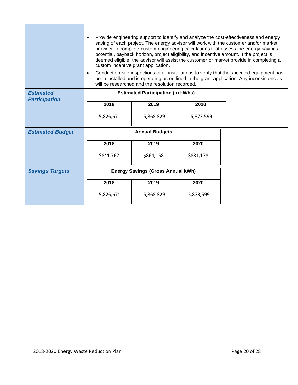|                         |                                          | custom incentive grant application.<br>will be researched and the resolution recorded. |           | Provide engineering support to identify and analyze the cost-effectiveness and energy<br>saving of each project. The energy advisor will work with the customer and/or market<br>provider to complete custom engineering calculations that assess the energy savings<br>potential, payback horizon, project eligibility, and incentive amount. If the project is<br>deemed eligible, the advisor will assist the customer or market provide in completing a<br>Conduct on-site inspections of all installations to verify that the specified equipment has<br>been installed and is operating as outlined in the grant application. Any inconsistencies |
|-------------------------|------------------------------------------|----------------------------------------------------------------------------------------|-----------|---------------------------------------------------------------------------------------------------------------------------------------------------------------------------------------------------------------------------------------------------------------------------------------------------------------------------------------------------------------------------------------------------------------------------------------------------------------------------------------------------------------------------------------------------------------------------------------------------------------------------------------------------------|
| <b>Estimated</b>        | <b>Estimated Participation (in kWhs)</b> |                                                                                        |           |                                                                                                                                                                                                                                                                                                                                                                                                                                                                                                                                                                                                                                                         |
| <b>Participation</b>    | 2018                                     | 2019                                                                                   | 2020      |                                                                                                                                                                                                                                                                                                                                                                                                                                                                                                                                                                                                                                                         |
|                         |                                          |                                                                                        |           |                                                                                                                                                                                                                                                                                                                                                                                                                                                                                                                                                                                                                                                         |
|                         | 5,826,671                                | 5,868,829                                                                              | 5,873,599 |                                                                                                                                                                                                                                                                                                                                                                                                                                                                                                                                                                                                                                                         |
| <b>Estimated Budget</b> | <b>Annual Budgets</b>                    |                                                                                        |           |                                                                                                                                                                                                                                                                                                                                                                                                                                                                                                                                                                                                                                                         |
|                         | 2018                                     | 2019                                                                                   | 2020      |                                                                                                                                                                                                                                                                                                                                                                                                                                                                                                                                                                                                                                                         |
|                         | \$841,762                                | \$864,158                                                                              | \$881,178 |                                                                                                                                                                                                                                                                                                                                                                                                                                                                                                                                                                                                                                                         |
| <b>Savings Targets</b>  |                                          | <b>Energy Savings (Gross Annual kWh)</b>                                               |           |                                                                                                                                                                                                                                                                                                                                                                                                                                                                                                                                                                                                                                                         |
|                         | 2018                                     | 2019                                                                                   | 2020      |                                                                                                                                                                                                                                                                                                                                                                                                                                                                                                                                                                                                                                                         |
|                         | 5,826,671                                | 5,868,829                                                                              | 5,873,599 |                                                                                                                                                                                                                                                                                                                                                                                                                                                                                                                                                                                                                                                         |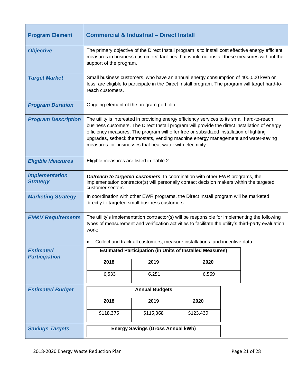| <b>Program Element</b>                   | <b>Commercial &amp; Industrial - Direct Install</b>                                                                                                                                                                                                                                                                                                                                                                                        |           |           |                                                                                                                                                                                                   |
|------------------------------------------|--------------------------------------------------------------------------------------------------------------------------------------------------------------------------------------------------------------------------------------------------------------------------------------------------------------------------------------------------------------------------------------------------------------------------------------------|-----------|-----------|---------------------------------------------------------------------------------------------------------------------------------------------------------------------------------------------------|
| <b>Objective</b>                         | support of the program.                                                                                                                                                                                                                                                                                                                                                                                                                    |           |           | The primary objective of the Direct Install program is to install cost effective energy efficient<br>measures in business customers' facilities that would not install these measures without the |
| <b>Target Market</b>                     | reach customers.                                                                                                                                                                                                                                                                                                                                                                                                                           |           |           | Small business customers, who have an annual energy consumption of 400,000 kWh or<br>less, are eligible to participate in the Direct Install program. The program will target hard-to-            |
| <b>Program Duration</b>                  | Ongoing element of the program portfolio.                                                                                                                                                                                                                                                                                                                                                                                                  |           |           |                                                                                                                                                                                                   |
| <b>Program Description</b>               | The utility is interested in providing energy efficiency services to its small hard-to-reach<br>business customers. The Direct Install program will provide the direct installation of energy<br>efficiency measures. The program will offer free or subsidized installation of lighting<br>upgrades, setback thermostats, vending machine energy management and water-saving<br>measures for businesses that heat water with electricity. |           |           |                                                                                                                                                                                                   |
| <b>Eligible Measures</b>                 | Eligible measures are listed in Table 2.                                                                                                                                                                                                                                                                                                                                                                                                   |           |           |                                                                                                                                                                                                   |
| <b>Implementation</b><br><b>Strategy</b> | Outreach to targeted customers. In coordination with other EWR programs, the<br>implementation contractor(s) will personally contact decision makers within the targeted<br>customer sectors.                                                                                                                                                                                                                                              |           |           |                                                                                                                                                                                                   |
| <b>Marketing Strategy</b>                | In coordination with other EWR programs, the Direct Install program will be marketed<br>directly to targeted small business customers.                                                                                                                                                                                                                                                                                                     |           |           |                                                                                                                                                                                                   |
| <b>EM&amp;V Requirements</b>             | The utility's implementation contractor(s) will be responsible for implementing the following<br>types of measurement and verification activities to facilitate the utility's third-party evaluation<br>work:<br>Collect and track all customers, measure installations, and incentive data.                                                                                                                                               |           |           |                                                                                                                                                                                                   |
| <b>Estimated</b><br><b>Participation</b> | <b>Estimated Participation (in Units of Installed Measures)</b>                                                                                                                                                                                                                                                                                                                                                                            |           |           |                                                                                                                                                                                                   |
|                                          | 2018                                                                                                                                                                                                                                                                                                                                                                                                                                       | 2019      | 2020      |                                                                                                                                                                                                   |
|                                          | 6,533                                                                                                                                                                                                                                                                                                                                                                                                                                      | 6,251     | 6,569     |                                                                                                                                                                                                   |
| <b>Estimated Budget</b>                  | <b>Annual Budgets</b>                                                                                                                                                                                                                                                                                                                                                                                                                      |           |           |                                                                                                                                                                                                   |
|                                          | 2018                                                                                                                                                                                                                                                                                                                                                                                                                                       | 2019      | 2020      |                                                                                                                                                                                                   |
|                                          | \$118,375                                                                                                                                                                                                                                                                                                                                                                                                                                  | \$115,368 | \$123,439 |                                                                                                                                                                                                   |
| <b>Savings Targets</b>                   | <b>Energy Savings (Gross Annual kWh)</b>                                                                                                                                                                                                                                                                                                                                                                                                   |           |           |                                                                                                                                                                                                   |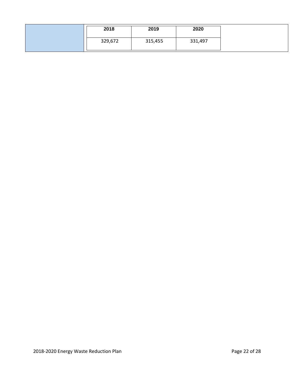| 2018    | 2019    | 2020    |
|---------|---------|---------|
| 329,672 | 315,455 | 331,497 |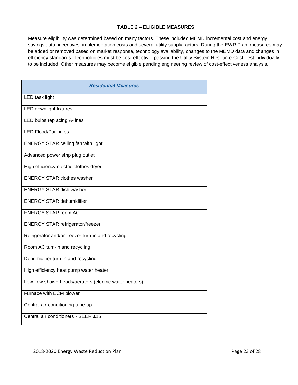## **TABLE 2 – ELIGIBLE MEASURES**

Measure eligibility was determined based on many factors. These included MEMD incremental cost and energy savings data, incentives, implementation costs and several utility supply factors. During the EWR Plan, measures may be added or removed based on market response, technology availability, changes to the MEMD data and changes in efficiency standards. Technologies must be cost-effective, passing the Utility System Resource Cost Test individually, to be included. Other measures may become eligible pending engineering review of cost-effectiveness analysis.

| <b>Residential Measures</b>                            |
|--------------------------------------------------------|
| LED task light                                         |
| LED downlight fixtures                                 |
| LED bulbs replacing A-lines                            |
| <b>LED Flood/Par bulbs</b>                             |
| <b>ENERGY STAR ceiling fan with light</b>              |
| Advanced power strip plug outlet                       |
| High efficiency electric clothes dryer                 |
| <b>ENERGY STAR clothes washer</b>                      |
| <b>ENERGY STAR dish washer</b>                         |
| <b>ENERGY STAR dehumidifier</b>                        |
| <b>ENERGY STAR room AC</b>                             |
| <b>ENERGY STAR refrigerator/freezer</b>                |
| Refrigerator and/or freezer turn-in and recycling      |
| Room AC turn-in and recycling                          |
| Dehumidifier turn-in and recycling                     |
| High efficiency heat pump water heater                 |
| Low flow showerheads/aerators (electric water heaters) |
| Furnace with ECM blower                                |
| Central air-conditioning tune-up                       |
| Central air conditioners - SEER ≥15                    |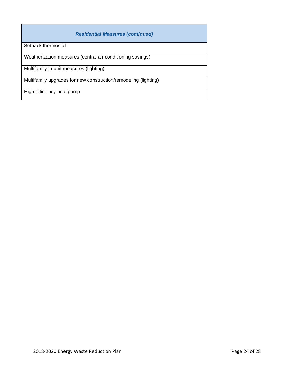| <b>Residential Measures (continued)</b>                         |
|-----------------------------------------------------------------|
| Setback thermostat                                              |
| Weatherization measures (central air conditioning savings)      |
| Multifamily in-unit measures (lighting)                         |
| Multifamily upgrades for new construction/remodeling (lighting) |
| High-efficiency pool pump                                       |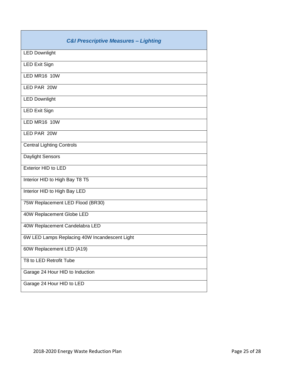| <b>C&amp;I Prescriptive Measures - Lighting</b> |
|-------------------------------------------------|
| <b>LED Downlight</b>                            |
| <b>LED Exit Sign</b>                            |
| <b>LED MR16 10W</b>                             |
| LED PAR 20W                                     |
| <b>LED Downlight</b>                            |
| <b>LED Exit Sign</b>                            |
| LED MR16 10W                                    |
| LED PAR 20W                                     |
| <b>Central Lighting Controls</b>                |
| Daylight Sensors                                |
| Exterior HID to LED                             |
| Interior HID to High Bay T8 T5                  |
| Interior HID to High Bay LED                    |
| 75W Replacement LED Flood (BR30)                |
| 40W Replacement Globe LED                       |
| 40W Replacement Candelabra LED                  |
| 6W LED Lamps Replacing 40W Incandescent Light   |
| 60W Replacement LED (A19)                       |
| T8 to LED Retrofit Tube                         |
| Garage 24 Hour HID to Induction                 |
| Garage 24 Hour HID to LED                       |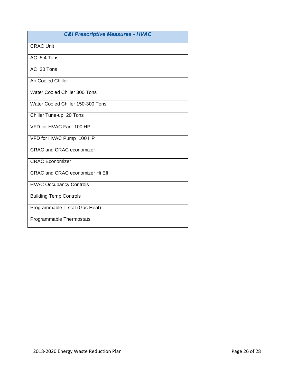| <b>C&amp;I Prescriptive Measures - HVAC</b> |
|---------------------------------------------|
| <b>CRAC Unit</b>                            |
| AC 5.4 Tons                                 |
| AC 20 Tons                                  |
| <b>Air Cooled Chiller</b>                   |
| Water Cooled Chiller 300 Tons               |
| Water Cooled Chiller 150-300 Tons           |
| Chiller Tune-up 20 Tons                     |
| VFD for HVAC Fan 100 HP                     |
| VFD for HVAC Pump 100 HP                    |
| <b>CRAC and CRAC economizer</b>             |
| <b>CRAC</b> Economizer                      |
| CRAC and CRAC economizer Hi Eff             |
| <b>HVAC Occupancy Controls</b>              |
| <b>Building Temp Controls</b>               |
| Programmable T-stat (Gas Heat)              |
| Programmable Thermostats                    |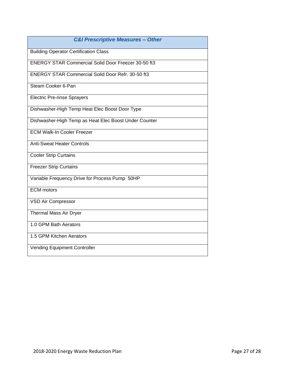| <b>C&amp;I Prescriptive Measures - Other</b>               |
|------------------------------------------------------------|
| <b>Building Operator Certification Class</b>               |
| <b>ENERGY STAR Commercial Solid Door Freezer 30-50 ft3</b> |
| <b>ENERGY STAR Commercial Solid Door Refr. 30-50 ft3</b>   |
| Steam Cooker 6-Pan                                         |
| <b>Electric Pre-rinse Sprayers</b>                         |
| Dishwasher-High Temp Heat Elec Boost Door Type             |
| Dishwasher-High Temp as Heat Elec Boost Under Counter      |
| <b>ECM Walk-In Cooler Freezer</b>                          |
| <b>Anti-Sweat Heater Controls</b>                          |
| <b>Cooler Strip Curtains</b>                               |
| <b>Freezer Strip Curtains</b>                              |
| Variable Frequency Drive for Process Pump 50HP             |
| <b>ECM</b> motors                                          |
| VSD Air Compressor                                         |
| Thermal Mass Air Dryer                                     |
| 1.0 GPM Bath Aerators                                      |
| 1.5 GPM Kitchen Aerators                                   |
| <b>Vending Equipment Controller</b>                        |